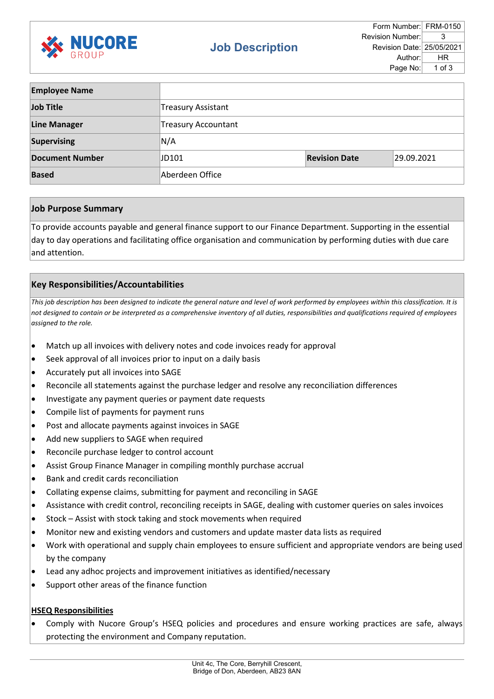

| <b>Employee Name</b>   |                            |                      |            |
|------------------------|----------------------------|----------------------|------------|
| Job Title              | <b>Treasury Assistant</b>  |                      |            |
| <b>Line Manager</b>    | <b>Treasury Accountant</b> |                      |            |
| <b>Supervising</b>     | N/A                        |                      |            |
| <b>Document Number</b> | JD101                      | <b>Revision Date</b> | 29.09.2021 |
| <b>Based</b>           | Aberdeen Office            |                      |            |

## **Job Purpose Summary**

To provide accounts payable and general finance support to our Finance Department. Supporting in the essential day to day operations and facilitating office organisation and communication by performing duties with due care and attention.

# **Key Responsibilities/Accountabilities**

*This job description has been designed to indicate the general nature and level of work performed by employees within this classification. It is not designed to contain or be interpreted as a comprehensive inventory of all duties, responsibilities and qualifications required of employees assigned to the role.*

- Match up all invoices with delivery notes and code invoices ready for approval
- Seek approval of all invoices prior to input on a daily basis
- Accurately put all invoices into SAGE
- Reconcile all statements against the purchase ledger and resolve any reconciliation differences
- Investigate any payment queries or payment date requests
- Compile list of payments for payment runs
- Post and allocate payments against invoices in SAGE
- Add new suppliers to SAGE when required
- Reconcile purchase ledger to control account
- Assist Group Finance Manager in compiling monthly purchase accrual
- Bank and credit cards reconciliation
- Collating expense claims, submitting for payment and reconciling in SAGE
- Assistance with credit control, reconciling receipts in SAGE, dealing with customer queries on sales invoices
- Stock Assist with stock taking and stock movements when required
- Monitor new and existing vendors and customers and update master data lists as required
- Work with operational and supply chain employees to ensure sufficient and appropriate vendors are being used by the company
- Lead any adhoc projects and improvement initiatives as identified/necessary
- Support other areas of the finance function

#### **HSEQ Responsibilities**

• Comply with Nucore Group's HSEQ policies and procedures and ensure working practices are safe, always protecting the environment and Company reputation.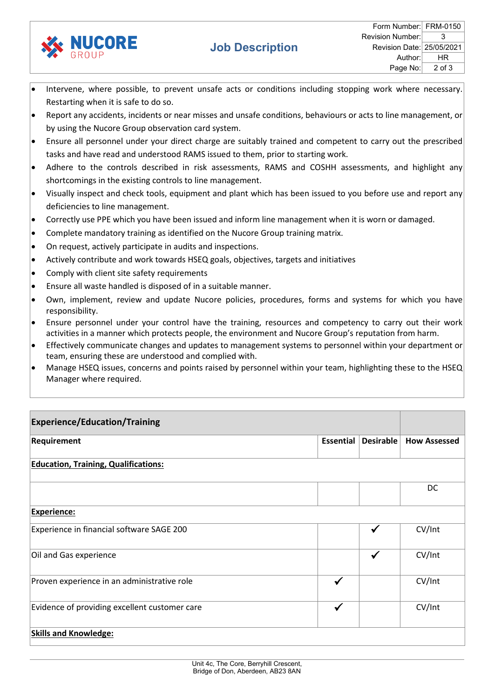

- Intervene, where possible, to prevent unsafe acts or conditions including stopping work where necessary. Restarting when it is safe to do so.
- Report any accidents, incidents or near misses and unsafe conditions, behaviours or acts to line management, or by using the Nucore Group observation card system.
- Ensure all personnel under your direct charge are suitably trained and competent to carry out the prescribed tasks and have read and understood RAMS issued to them, prior to starting work.
- Adhere to the controls described in risk assessments, RAMS and COSHH assessments, and highlight any shortcomings in the existing controls to line management.
- Visually inspect and check tools, equipment and plant which has been issued to you before use and report any deficiencies to line management.
- Correctly use PPE which you have been issued and inform line management when it is worn or damaged.
- Complete mandatory training as identified on the Nucore Group training matrix.
- On request, actively participate in audits and inspections.
- Actively contribute and work towards HSEQ goals, objectives, targets and initiatives
- Comply with client site safety requirements
- Ensure all waste handled is disposed of in a suitable manner.
- Own, implement, review and update Nucore policies, procedures, forms and systems for which you have responsibility.
- Ensure personnel under your control have the training, resources and competency to carry out their work activities in a manner which protects people, the environment and Nucore Group's reputation from harm.
- Effectively communicate changes and updates to management systems to personnel within your department or team, ensuring these are understood and complied with.
- Manage HSEQ issues, concerns and points raised by personnel within your team, highlighting these to the HSEQ Manager where required.

| <b>Experience/Education/Training</b>          |                  |              |                     |
|-----------------------------------------------|------------------|--------------|---------------------|
| Requirement                                   | <b>Essential</b> | Desirable    | <b>How Assessed</b> |
| <b>Education, Training, Qualifications:</b>   |                  |              |                     |
|                                               |                  |              | DC                  |
| <b>Experience:</b>                            |                  |              |                     |
| Experience in financial software SAGE 200     |                  | $\checkmark$ | CV/Int              |
| Oil and Gas experience                        |                  | $\checkmark$ | CV/Int              |
| Proven experience in an administrative role   | $\checkmark$     |              | CV/Int              |
| Evidence of providing excellent customer care | √                |              | CV/Int              |
| <b>Skills and Knowledge:</b>                  |                  |              |                     |